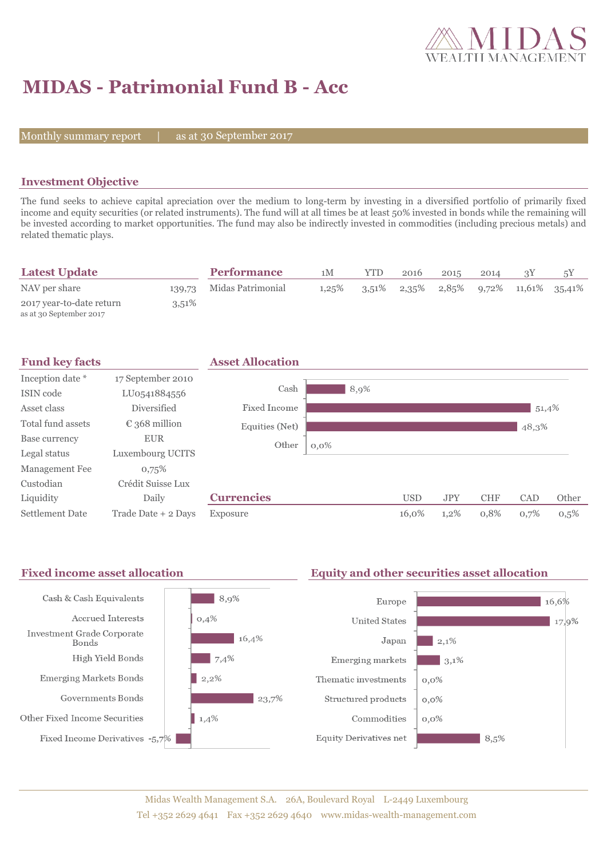

# **MIDAS - Patrimonial Fund B - Acc**

Monthly summary report  $\|$ 

as at 30 September 2017

### **Investment Objective**

The fund seeks to achieve capital apreciation over the medium to long-term by investing in a diversified portfolio of primarily fixed income and equity securities (or related instruments). The fund will at all times be at least 50% invested in bonds while the remaining will be invested according to market opportunities. The fund may also be indirectly invested in commodities (including precious metals) and related thematic plays.

| <b>Latest Update</b>                                |          | <b>Performance</b> | 1 M   | YTD      | 2016 | 2015 | 2014 |                                                |
|-----------------------------------------------------|----------|--------------------|-------|----------|------|------|------|------------------------------------------------|
| NAV per share                                       | 139,73   | Midas Patrimonial  | 1,25% | $3.51\%$ |      |      |      | $2,35\%$ $2,85\%$ $9,72\%$ $11,61\%$ $35,41\%$ |
| 2017 year-to-date return<br>as at 30 September 2017 | $3,51\%$ |                    |       |          |      |      |      |                                                |



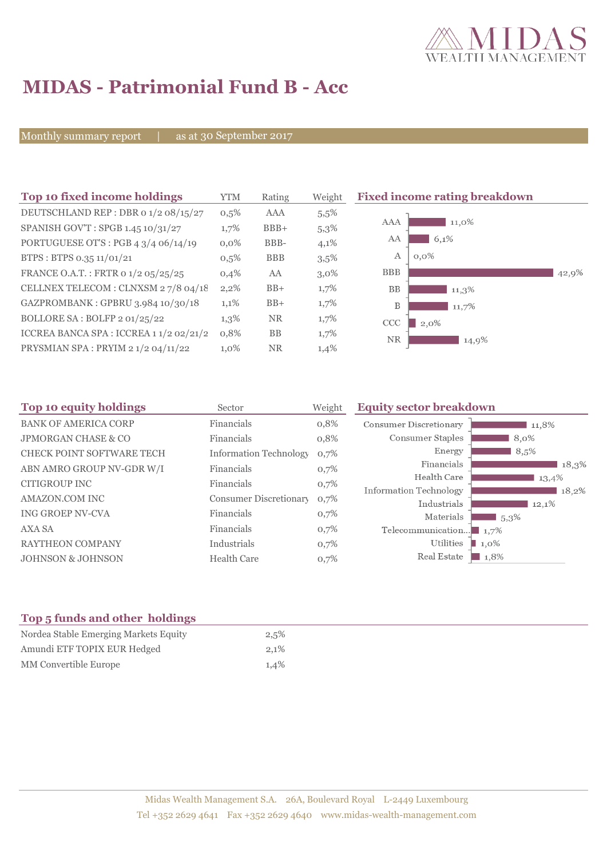

## **MIDAS - Patrimonial Fund B - Acc**

Monthly summary report | as at 30 September 2017

| Top 10 fixed income holdings            | YTM     | Rating     | Weight  | <b>Fixed income rating breakdown</b> |
|-----------------------------------------|---------|------------|---------|--------------------------------------|
| DEUTSCHLAND REP : DBR 0 1/2 08/15/27    | $0,5\%$ | <b>AAA</b> | 5,5%    |                                      |
| SPANISH GOV'T: SPGB 1.45 10/31/27       | 1,7%    | $BBB+$     | 5,3%    | AAA<br>11,0%                         |
| PORTUGUESE OT'S : PGB $43/406/14/19$    | $0.0\%$ | BBB-       | 4,1%    | AA<br>6,1%                           |
| BTPS: BTPS 0.35 11/01/21                | $0,5\%$ | <b>BBB</b> | 3,5%    | $0.0\%$<br>А                         |
| FRANCE O.A.T.: FRTR 0 1/2 05/25/25      | 0,4%    | AA         | $3,0\%$ | <b>BBB</b><br>42,9%                  |
| CELLNEX TELECOM : CLNXSM 27/8 04/18     | $2,2\%$ | $BB+$      | 1,7%    | <b>BB</b><br>$11,3\%$                |
| GAZPROMBANK: GPBRU 3.984 10/30/18       | 1,1%    | $BB+$      | 1,7%    | B<br>11,7%                           |
| BOLLORE SA: BOLFP 2 01/25/22            | $1,3\%$ | <b>NR</b>  | $1,7\%$ | CCC<br>2,0%                          |
| ICCREA BANCA SPA : ICCREA 1 1/2 02/21/2 | 0.8%    | BB         | $1,7\%$ | <b>NR</b><br>14,9%                   |
| PRYSMIAN SPA: PRYIM 21/204/11/22        | $1,0\%$ | NR.        | 1,4%    |                                      |

| Top 10 equity holdings<br>Sector |                               | Weight | <b>Equity sector breakdown</b>        |                     |  |  |
|----------------------------------|-------------------------------|--------|---------------------------------------|---------------------|--|--|
| <b>BANK OF AMERICA CORP</b>      | Financials                    | 0,8%   | <b>Consumer Discretionary</b>         | 11,8%               |  |  |
| <b>JPMORGAN CHASE &amp; CO</b>   | Financials                    | 0,8%   | Consumer Staples                      | 8,0%                |  |  |
| <b>CHECK POINT SOFTWARE TECH</b> | <b>Information Technology</b> | 0,7%   | Energy                                | 8,5%                |  |  |
| ABN AMRO GROUP NV-GDR W/I        | Financials                    | 0,7%   | Financials                            | 18,3%               |  |  |
| <b>CITIGROUP INC</b>             | Financials                    | 0,7%   | Health Care                           | 13,4%               |  |  |
| AMAZON.COM INC                   | <b>Consumer Discretionary</b> | 0,7%   | Information Technology<br>Industrials | 18,2%<br>12,1%      |  |  |
| <b>ING GROEP NV-CVA</b>          | Financials                    | 0,7%   | Materials                             | $15.3\%$            |  |  |
| <b>AXA SA</b>                    | Financials                    | 0,7%   | Telecommunication                     | $\blacksquare$ 1,7% |  |  |
| <b>RAYTHEON COMPANY</b>          | Industrials                   | 0,7%   | Utilities                             | 1,0%                |  |  |
| <b>JOHNSON &amp; JOHNSON</b>     | <b>Health Care</b>            | 0,7%   | Real Estate                           | $\blacksquare$ 1,8% |  |  |

### **Top 5 funds and other holdings**

| Nordea Stable Emerging Markets Equity | 2,5% |  |
|---------------------------------------|------|--|
| Amundi ETF TOPIX EUR Hedged           | 2.1% |  |
| MM Convertible Europe                 | 1.4% |  |